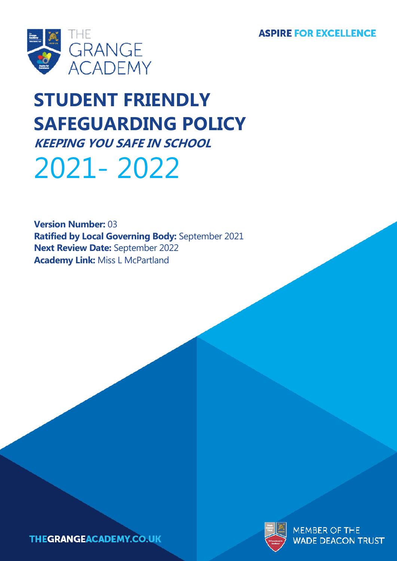**ASPIRE FOR EXCELLENCE** 



# **STUDENT FRIENDLY SAFEGUARDING POLICY KEEPING YOU SAFE IN SCHOOL**

# 2021- 2022

**Version Number:** 03 **Ratified by Local Governing Body:** September 2021 **Next Review Date:** September 2022 **Academy Link:** Miss L McPartland



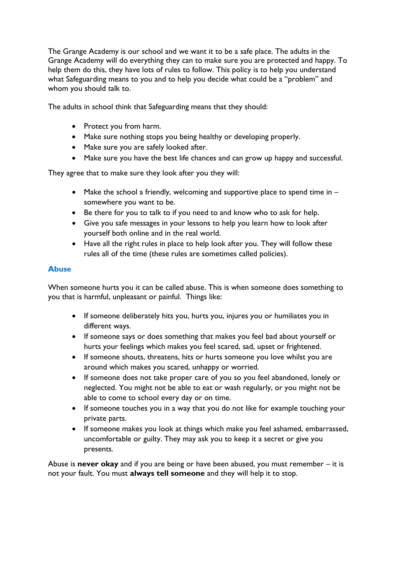The Grange Academy is our school and we want it to be a safe place. The adults in the Grange Academy will do everything they can to make sure you are protected and happy. To help them do this, they have lots of rules to follow. This policy is to help you understand what Safeguarding means to you and to help you decide what could be a "problem" and whom you should talk to.

The adults in school think that Safeguarding means that they should:

- Protect you from harm.
- Make sure nothing stops you being healthy or developing properly.
- Make sure you are safely looked after.
- Make sure you have the best life chances and can grow up happy and successful.

They agree that to make sure they look after you they will:

- Make the school a friendly, welcoming and supportive place to spend time in somewhere you want to be.
- Be there for you to talk to if you need to and know who to ask for help.
- Give you safe messages in your lessons to help you learn how to look after yourself both online and in the real world.
- Have all the right rules in place to help look after you. They will follow these rules all of the time (these rules are sometimes called policies).

## **Abuse**

When someone hurts you it can be called abuse. This is when someone does something to you that is harmful, unpleasant or painful. Things like:

- If someone deliberately hits you, hurts you, injures you or humiliates you in different ways.
- If someone says or does something that makes you feel bad about yourself or hurts your feelings which makes you feel scared, sad, upset or frightened.
- If someone shouts, threatens, hits or hurts someone you love whilst you are around which makes you scared, unhappy or worried.
- If someone does not take proper care of you so you feel abandoned, lonely or neglected. You might not be able to eat or wash regularly, or you might not be able to come to school every day or on time.
- If someone touches you in a way that you do not like for example touching your private parts.
- If someone makes you look at things which make you feel ashamed, embarrassed, uncomfortable or guilty. They may ask you to keep it a secret or give you presents.

Abuse is **never okay** and if you are being or have been abused, you must remember – it is not your fault. You must **always tell someone** and they will help it to stop.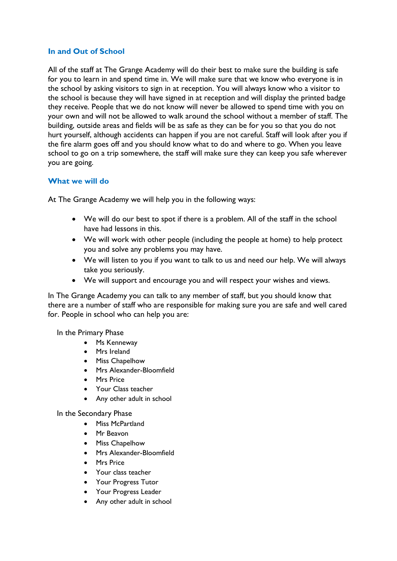#### **In and Out of School**

All of the staff at The Grange Academy will do their best to make sure the building is safe for you to learn in and spend time in. We will make sure that we know who everyone is in the school by asking visitors to sign in at reception. You will always know who a visitor to the school is because they will have signed in at reception and will display the printed badge they receive. People that we do not know will never be allowed to spend time with you on your own and will not be allowed to walk around the school without a member of staff. The building, outside areas and fields will be as safe as they can be for you so that you do not hurt yourself, although accidents can happen if you are not careful. Staff will look after you if the fire alarm goes off and you should know what to do and where to go. When you leave school to go on a trip somewhere, the staff will make sure they can keep you safe wherever you are going.

#### **What we will do**

At The Grange Academy we will help you in the following ways:

- We will do our best to spot if there is a problem. All of the staff in the school have had lessons in this.
- We will work with other people (including the people at home) to help protect you and solve any problems you may have.
- We will listen to you if you want to talk to us and need our help. We will always take you seriously.
- We will support and encourage you and will respect your wishes and views.

In The Grange Academy you can talk to any member of staff, but you should know that there are a number of staff who are responsible for making sure you are safe and well cared for. People in school who can help you are:

In the Primary Phase

- Ms Kenneway
- Mrs Ireland
- Miss Chapelhow
- Mrs Alexander-Bloomfield
- Mrs Price
- Your Class teacher
- Any other adult in school

In the Secondary Phase

- Miss McPartland
- Mr Beavon
- Miss Chapelhow
- Mrs Alexander-Bloomfield
- Mrs Price
- Your class teacher
- Your Progress Tutor
- Your Progress Leader
- Any other adult in school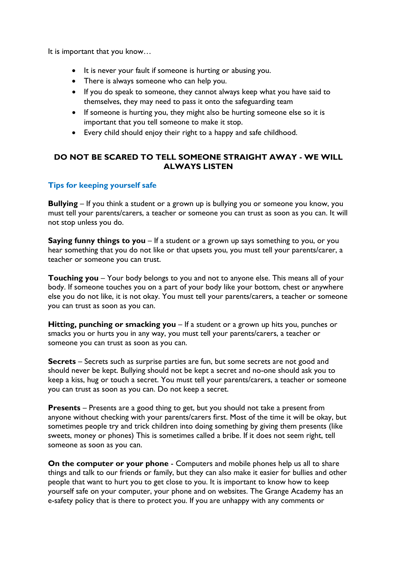It is important that you know…

- It is never your fault if someone is hurting or abusing you.
- There is always someone who can help you.
- If you do speak to someone, they cannot always keep what you have said to themselves, they may need to pass it onto the safeguarding team
- If someone is hurting you, they might also be hurting someone else so it is important that you tell someone to make it stop.
- Every child should enjoy their right to a happy and safe childhood.

# **DO NOT BE SCARED TO TELL SOMEONE STRAIGHT AWAY - WE WILL ALWAYS LISTEN**

## **Tips for keeping yourself safe**

**Bullying** – If you think a student or a grown up is bullying you or someone you know, you must tell your parents/carers, a teacher or someone you can trust as soon as you can. It will not stop unless you do.

**Saying funny things to you** – If a student or a grown up says something to you, or you hear something that you do not like or that upsets you, you must tell your parents/carer, a teacher or someone you can trust.

**Touching you** – Your body belongs to you and not to anyone else. This means all of your body. If someone touches you on a part of your body like your bottom, chest or anywhere else you do not like, it is not okay. You must tell your parents/carers, a teacher or someone you can trust as soon as you can.

**Hitting, punching or smacking you** – If a student or a grown up hits you, punches or smacks you or hurts you in any way, you must tell your parents/carers, a teacher or someone you can trust as soon as you can.

**Secrets** – Secrets such as surprise parties are fun, but some secrets are not good and should never be kept. Bullying should not be kept a secret and no-one should ask you to keep a kiss, hug or touch a secret. You must tell your parents/carers, a teacher or someone you can trust as soon as you can. Do not keep a secret.

**Presents** – Presents are a good thing to get, but you should not take a present from anyone without checking with your parents/carers first. Most of the time it will be okay, but sometimes people try and trick children into doing something by giving them presents (like sweets, money or phones) This is sometimes called a bribe. If it does not seem right, tell someone as soon as you can.

**On the computer or your phone** - Computers and mobile phones help us all to share things and talk to our friends or family, but they can also make it easier for bullies and other people that want to hurt you to get close to you. It is important to know how to keep yourself safe on your computer, your phone and on websites. The Grange Academy has an e-safety policy that is there to protect you. If you are unhappy with any comments or